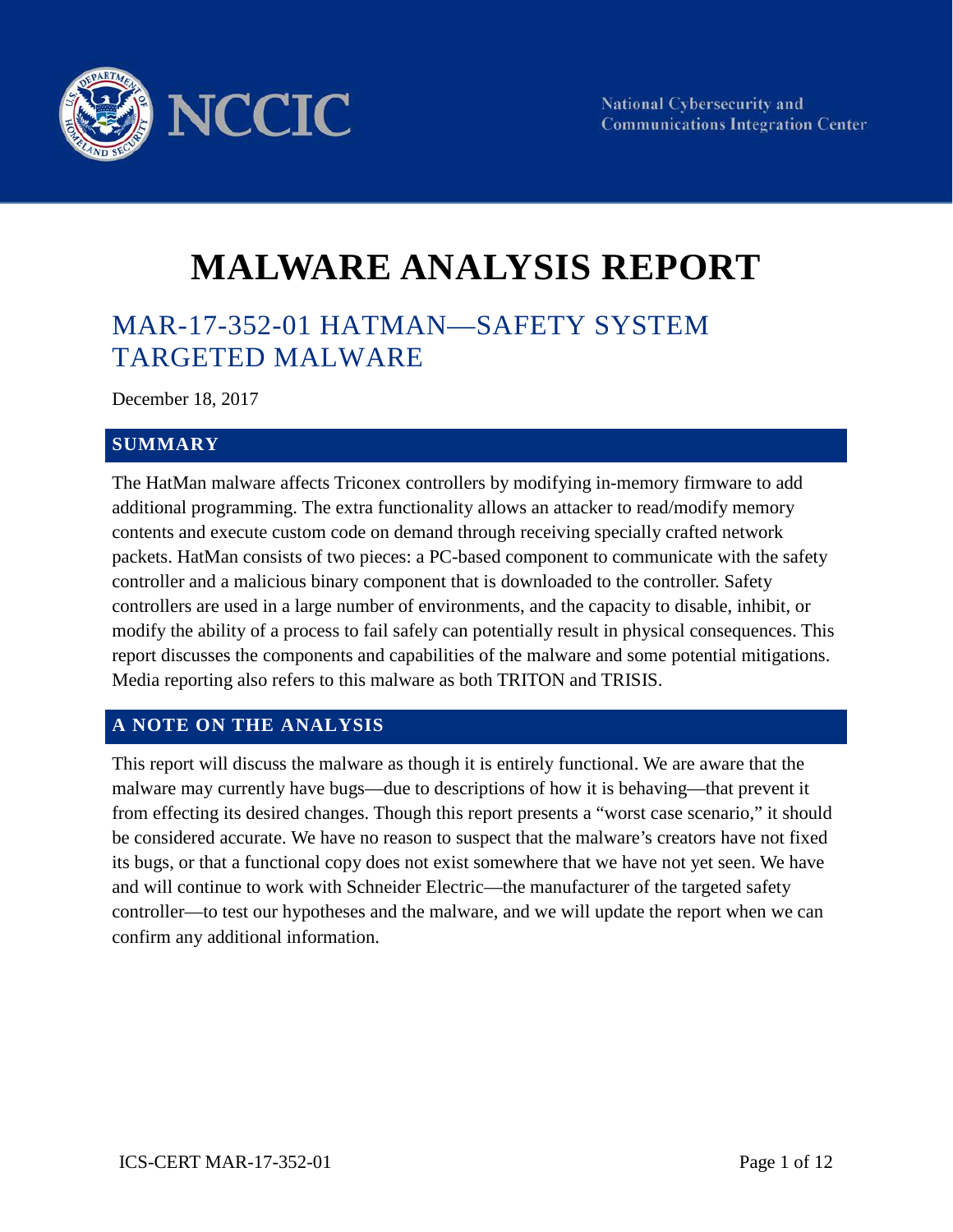

# **MALWARE ANALYSIS REPORT**

# MAR-17-352-01 HATMAN—SAFETY SYSTEM TARGETED MALWARE

December 18, 2017

#### **SUMMARY**

 The HatMan malware affects Triconex controllers by modifying in-memory firmware to add controller and a malicious binary component that is downloaded to the controller. Safety controllers are used in a large number of environments, and the capacity to disable, inhibit, or modify the ability of a process to fail safely can potentially result in physical consequences. This Media reporting also refers to this malware as both TRITON and TRISIS. additional programming. The extra functionality allows an attacker to read/modify memory contents and execute custom code on demand through receiving specially crafted network packets. HatMan consists of two pieces: a PC-based component to communicate with the safety report discusses the components and capabilities of the malware and some potential mitigations.

#### **A NOTE ON THE ANALYSIS**

 This report will discuss the malware as though it is entirely functional. We are aware that the malware may currently have bugs—due to descriptions of how it is behaving—that prevent it from effecting its desired changes. Though this report presents a "worst case scenario," it should be considered accurate. We have no reason to suspect that the malware's creators have not fixed its bugs, or that a functional copy does not exist somewhere that we have not yet seen. We have confirm any additional information. and will continue to work with Schneider Electric—the manufacturer of the targeted safety controller—to test our hypotheses and the malware, and we will update the report when we can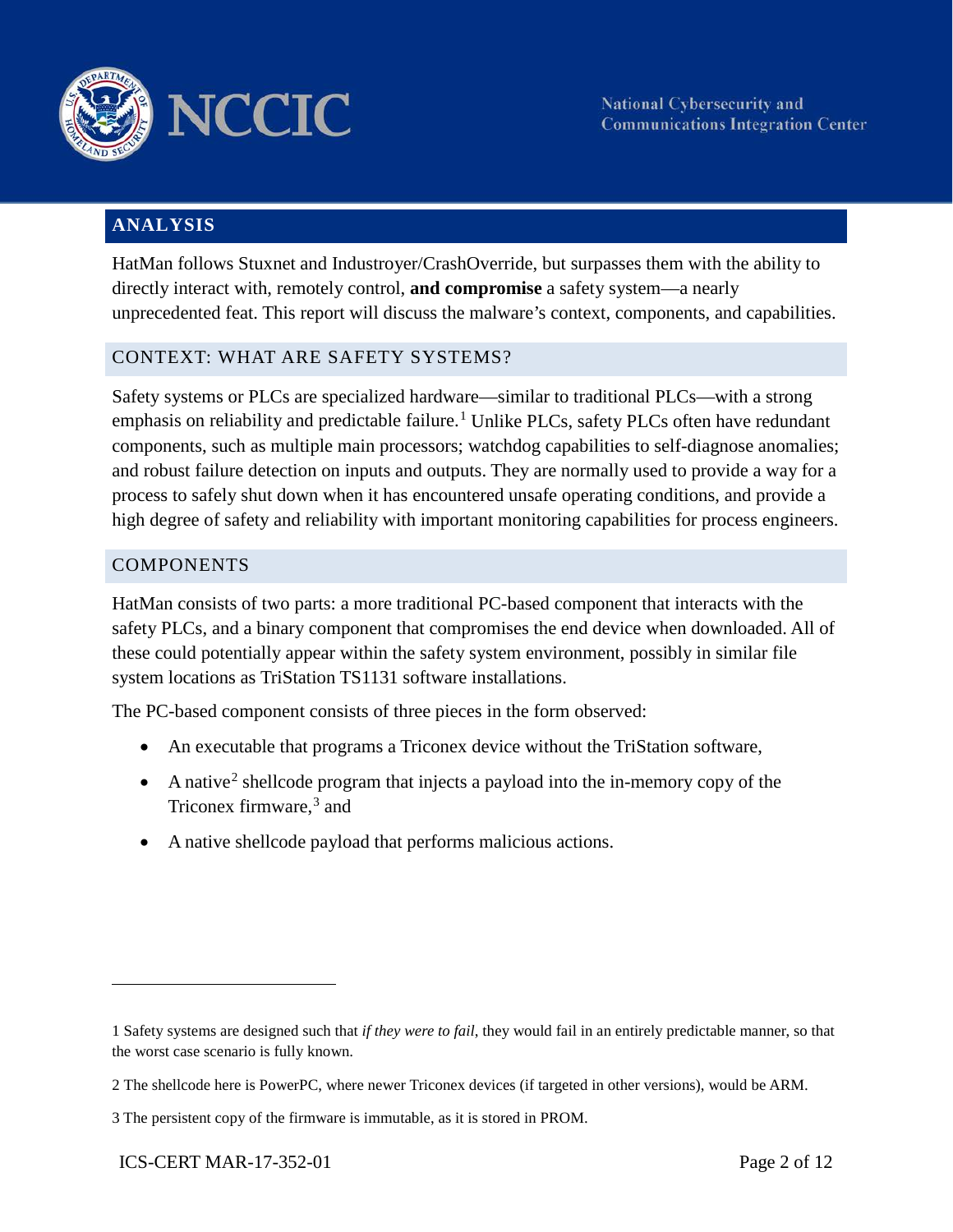

## **ANALYSIS**

HatMan follows Stuxnet and Industroyer/CrashOverride, but surpasses them with the ability to directly interact with, remotely control, **and compromise** a safety system—a nearly unprecedented feat. This report will discuss the malware's context, components, and capabilities.

#### CONTEXT: WHAT ARE SAFETY SYSTEMS?

emphasis on reliability and predictable failure.<sup>1</sup> Unlike PLCs, safety PLCs often have redundant and robust failure detection on inputs and outputs. They are normally used to provide a way for a Safety systems or PLCs are specialized hardware—similar to traditional PLCs—with a strong components, such as multiple main processors; watchdog capabilities to self-diagnose anomalies; process to safely shut down when it has encountered unsafe operating conditions, and provide a high degree of safety and reliability with important monitoring capabilities for process engineers.

#### **COMPONENTS**

 safety PLCs, and a binary component that compromises the end device when downloaded. All of these could potentially appear within the safety system environment, possibly in similar file HatMan consists of two parts: a more traditional PC-based component that interacts with the system locations as TriStation TS1131 software installations.

The PC-based component consists of three pieces in the form observed:

- An executable that programs a Triconex device without the TriStation software,
- A native<sup>2</sup> shellcode program that injects a payload into the in-memory copy of the Triconex firmware, [3](#page-1-2) and
- A native shellcode payload that performs malicious actions.

<span id="page-1-0"></span><sup>1</sup> Safety systems are designed such that *if they were to fail*, they would fail in an entirely predictable manner, so that the worst case scenario is fully known.

<span id="page-1-1"></span> 2 The shellcode here is PowerPC, where newer Triconex devices (if targeted in other versions), would be ARM.

<span id="page-1-2"></span><sup>3</sup> The persistent copy of the firmware is immutable, as it is stored in PROM.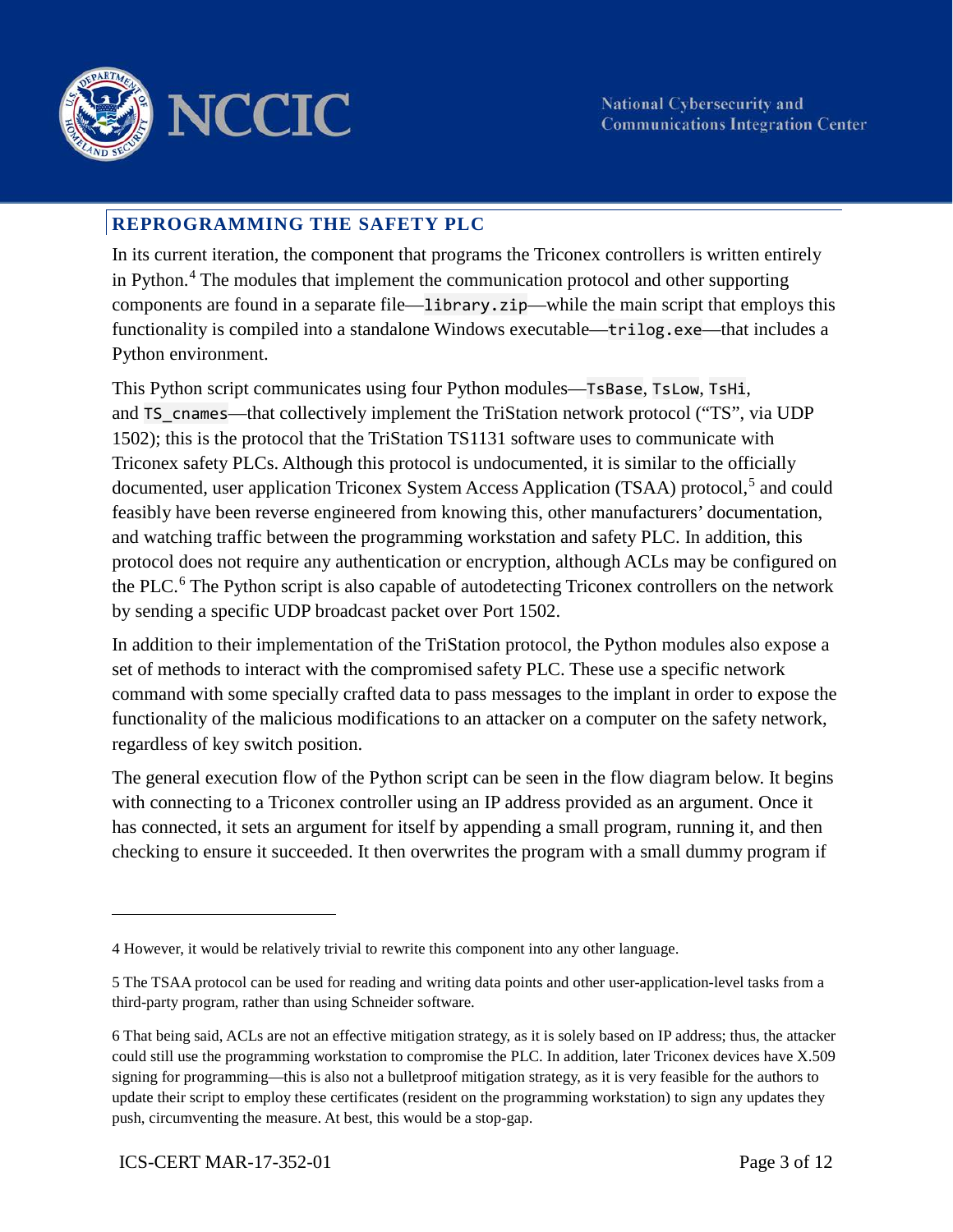

#### **REPROGRAMMING THE SAFETY PLC**

In its current iteration, the component that programs the Triconex controllers is written entirely in Python.[4](#page-2-0) The modules that implement the communication protocol and other supporting components are found in a separate file—library.zip—while the main script that employs this functionality is compiled into a standalone Windows executable—trilog.exe—that includes a Python environment.

documented, user application Triconex System Access Application (TSAA) protocol,<sup>[5](#page-2-1)</sup> and could protocol does not require any authentication or encryption, although ACLs may be configured on by sending a specific UDP broadcast packet over Port 1502. This Python script communicates using four Python modules—TsBase, TsLow, TsHi, and TS cnames—that collectively implement the TriStation network protocol ("TS", via UDP 1502); this is the protocol that the TriStation TS1131 software uses to communicate with Triconex safety PLCs. Although this protocol is undocumented, it is similar to the officially feasibly have been reverse engineered from knowing this, other manufacturers' documentation, and watching traffic between the programming workstation and safety PLC. In addition, this the PLC.<sup>[6](#page-2-2)</sup> The Python script is also capable of autodetecting Triconex controllers on the network

 In addition to their implementation of the TriStation protocol, the Python modules also expose a regardless of key switch position. set of methods to interact with the compromised safety PLC. These use a specific network command with some specially crafted data to pass messages to the implant in order to expose the functionality of the malicious modifications to an attacker on a computer on the safety network,

 has connected, it sets an argument for itself by appending a small program, running it, and then The general execution flow of the Python script can be seen in the flow diagram below. It begins with connecting to a Triconex controller using an IP address provided as an argument. Once it checking to ensure it succeeded. It then overwrites the program with a small dummy program if

<span id="page-2-0"></span><sup>4</sup> However, it would be relatively trivial to rewrite this component into any other language.

<span id="page-2-1"></span><sup>5</sup> The TSAA protocol can be used for reading and writing data points and other user-application-level tasks from a third-party program, rather than using Schneider software.

<span id="page-2-2"></span> signing for programming—this is also not a bulletproof mitigation strategy, as it is very feasible for the authors to push, circumventing the measure. At best, this would be a stop-gap. 6 That being said, ACLs are not an effective mitigation strategy, as it is solely based on IP address; thus, the attacker could still use the programming workstation to compromise the PLC. In addition, later Triconex devices have X.509 update their script to employ these certificates (resident on the programming workstation) to sign any updates they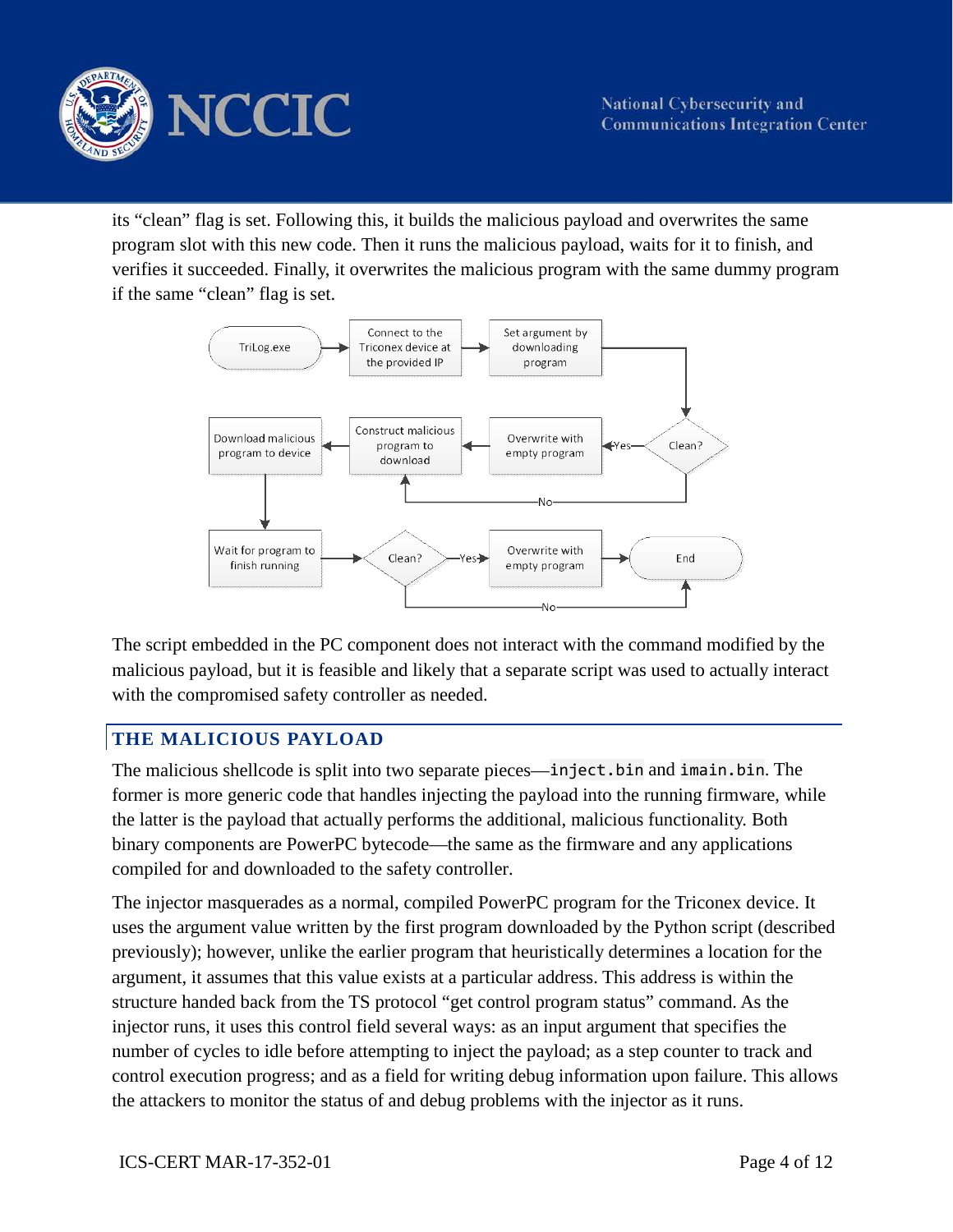

 program slot with this new code. Then it runs the malicious payload, waits for it to finish, and its "clean" flag is set. Following this, it builds the malicious payload and overwrites the same verifies it succeeded. Finally, it overwrites the malicious program with the same dummy program if the same "clean" flag is set.



 with the compromised safety controller as needed. The script embedded in the PC component does not interact with the command modified by the malicious payload, but it is feasible and likely that a separate script was used to actually interact

# **THE MALICIOUS PAYLOAD**

 The malicious shellcode is split into two separate pieces—inject.bin and imain.bin. The the latter is the payload that actually performs the additional, malicious functionality. Both binary components are PowerPC bytecode—the same as the firmware and any applications former is more generic code that handles injecting the payload into the running firmware, while compiled for and downloaded to the safety controller.

 structure handed back from the TS protocol "get control program status" command. As the The injector masquerades as a normal, compiled PowerPC program for the Triconex device. It uses the argument value written by the first program downloaded by the Python script (described previously); however, unlike the earlier program that heuristically determines a location for the argument, it assumes that this value exists at a particular address. This address is within the injector runs, it uses this control field several ways: as an input argument that specifies the number of cycles to idle before attempting to inject the payload; as a step counter to track and control execution progress; and as a field for writing debug information upon failure. This allows the attackers to monitor the status of and debug problems with the injector as it runs.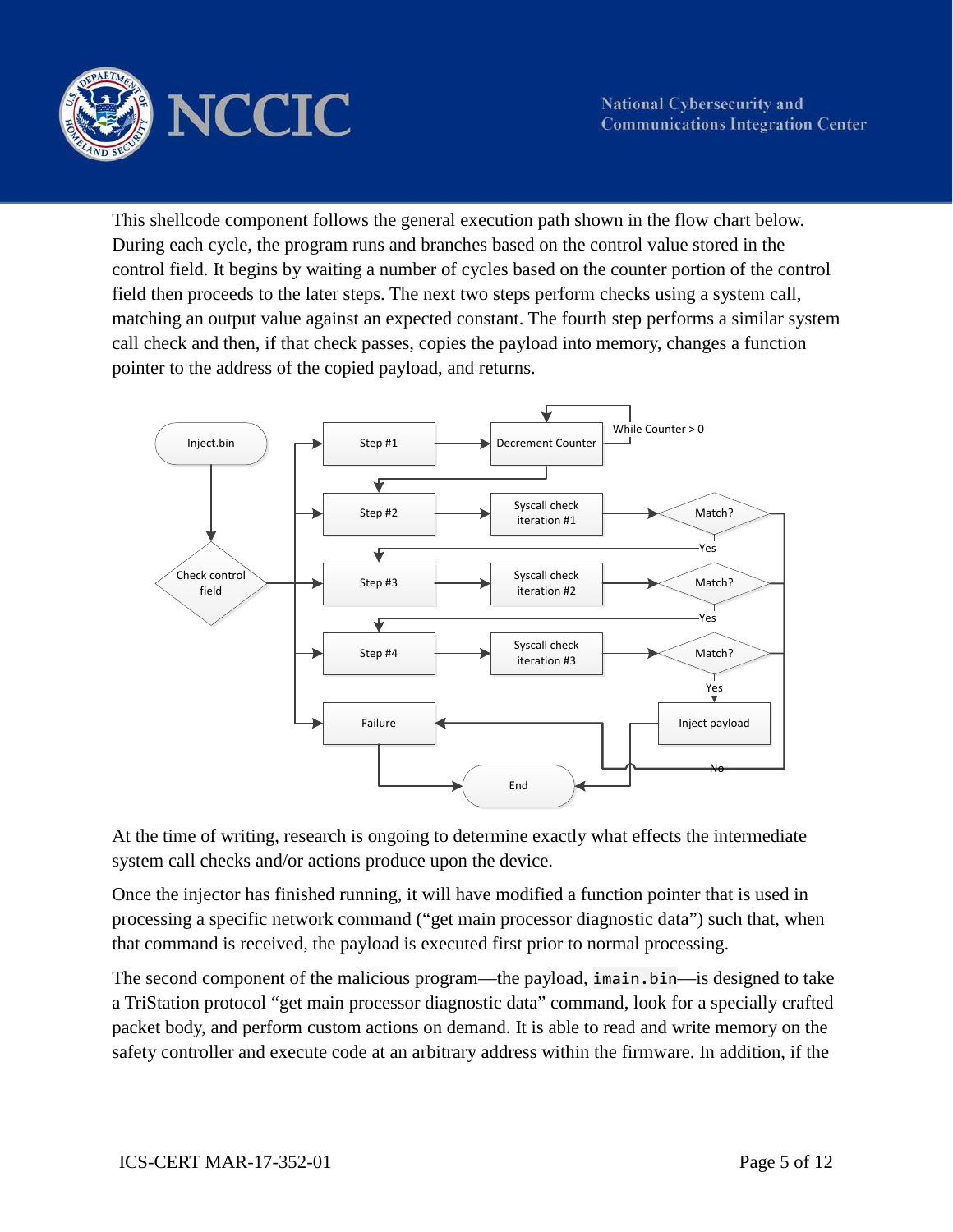

 call check and then, if that check passes, copies the payload into memory, changes a function This shellcode component follows the general execution path shown in the flow chart below. During each cycle, the program runs and branches based on the control value stored in the control field. It begins by waiting a number of cycles based on the counter portion of the control field then proceeds to the later steps. The next two steps perform checks using a system call, matching an output value against an expected constant. The fourth step performs a similar system pointer to the address of the copied payload, and returns.



At the time of writing, research is ongoing to determine exactly what effects the intermediate system call checks and/or actions produce upon the device.

Once the injector has finished running, it will have modified a function pointer that is used in processing a specific network command ("get main processor diagnostic data") such that, when that command is received, the payload is executed first prior to normal processing.

The second component of the malicious program—the payload, imain.bin—is designed to take a TriStation protocol "get main processor diagnostic data" command, look for a specially crafted packet body, and perform custom actions on demand. It is able to read and write memory on the safety controller and execute code at an arbitrary address within the firmware. In addition, if the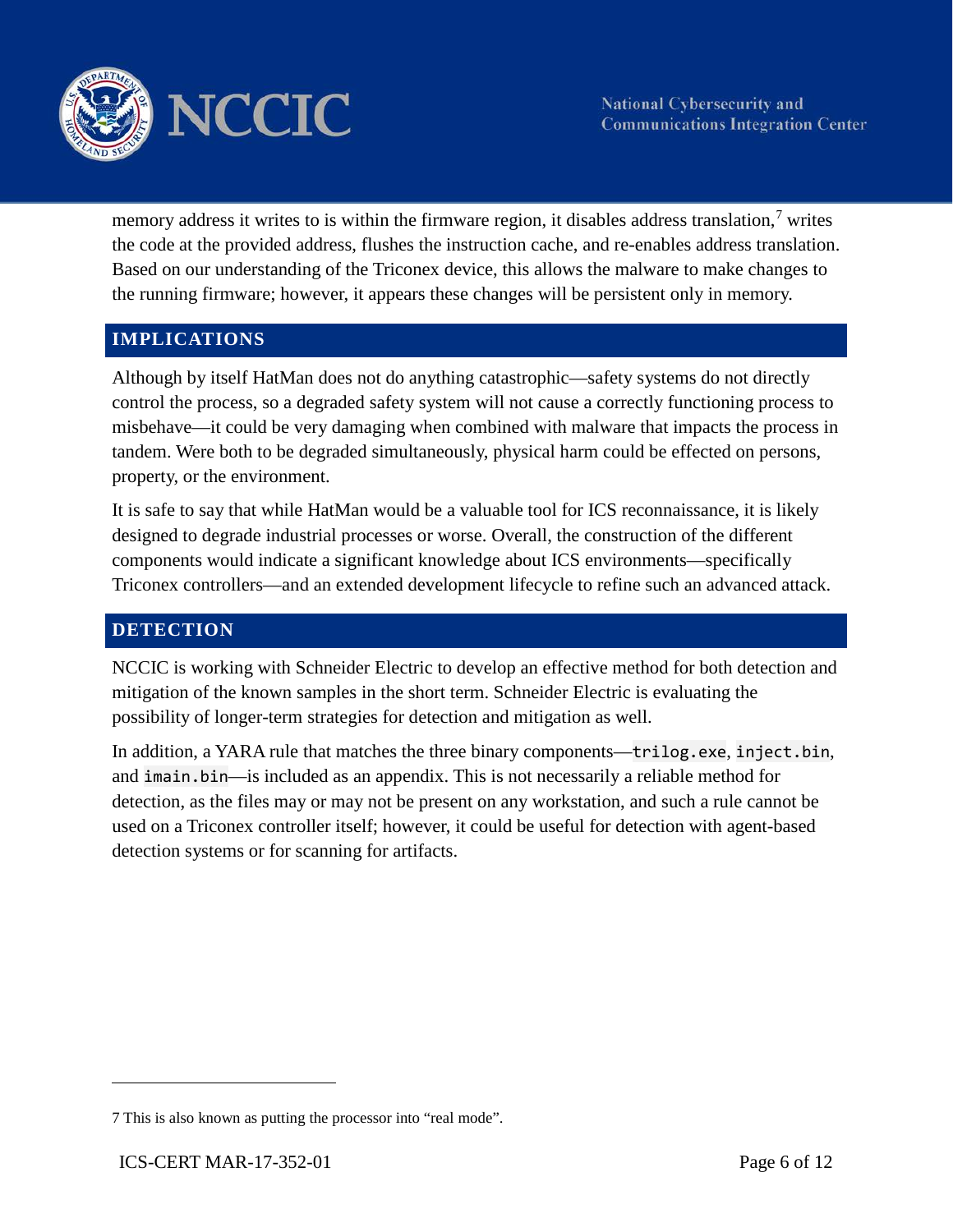

memory address it writes to is within the firmware region, it disables address translation,<sup>7</sup> writes the code at the provided address, flushes the instruction cache, and re-enables address translation. Based on our understanding of the Triconex device, this allows the malware to make changes to the running firmware; however, it appears these changes will be persistent only in memory.

#### **IMPLICATIONS**

 misbehave—it could be very damaging when combined with malware that impacts the process in Although by itself HatMan does not do anything catastrophic—safety systems do not directly control the process, so a degraded safety system will not cause a correctly functioning process to tandem. Were both to be degraded simultaneously, physical harm could be effected on persons, property, or the environment.

 components would indicate a significant knowledge about ICS environments—specifically It is safe to say that while HatMan would be a valuable tool for ICS reconnaissance, it is likely designed to degrade industrial processes or worse. Overall, the construction of the different Triconex controllers—and an extended development lifecycle to refine such an advanced attack.

#### **DETECTION**

NCCIC is working with Schneider Electric to develop an effective method for both detection and mitigation of the known samples in the short term. Schneider Electric is evaluating the possibility of longer-term strategies for detection and mitigation as well.

 In addition, a YARA rule that matches the three binary components—trilog.exe, inject.bin, detection, as the files may or may not be present on any workstation, and such a rule cannot be and imain.bin—is included as an appendix. This is not necessarily a reliable method for used on a Triconex controller itself; however, it could be useful for detection with agent-based detection systems or for scanning for artifacts.

<span id="page-5-0"></span><sup>7</sup> This is also known as putting the processor into "real mode".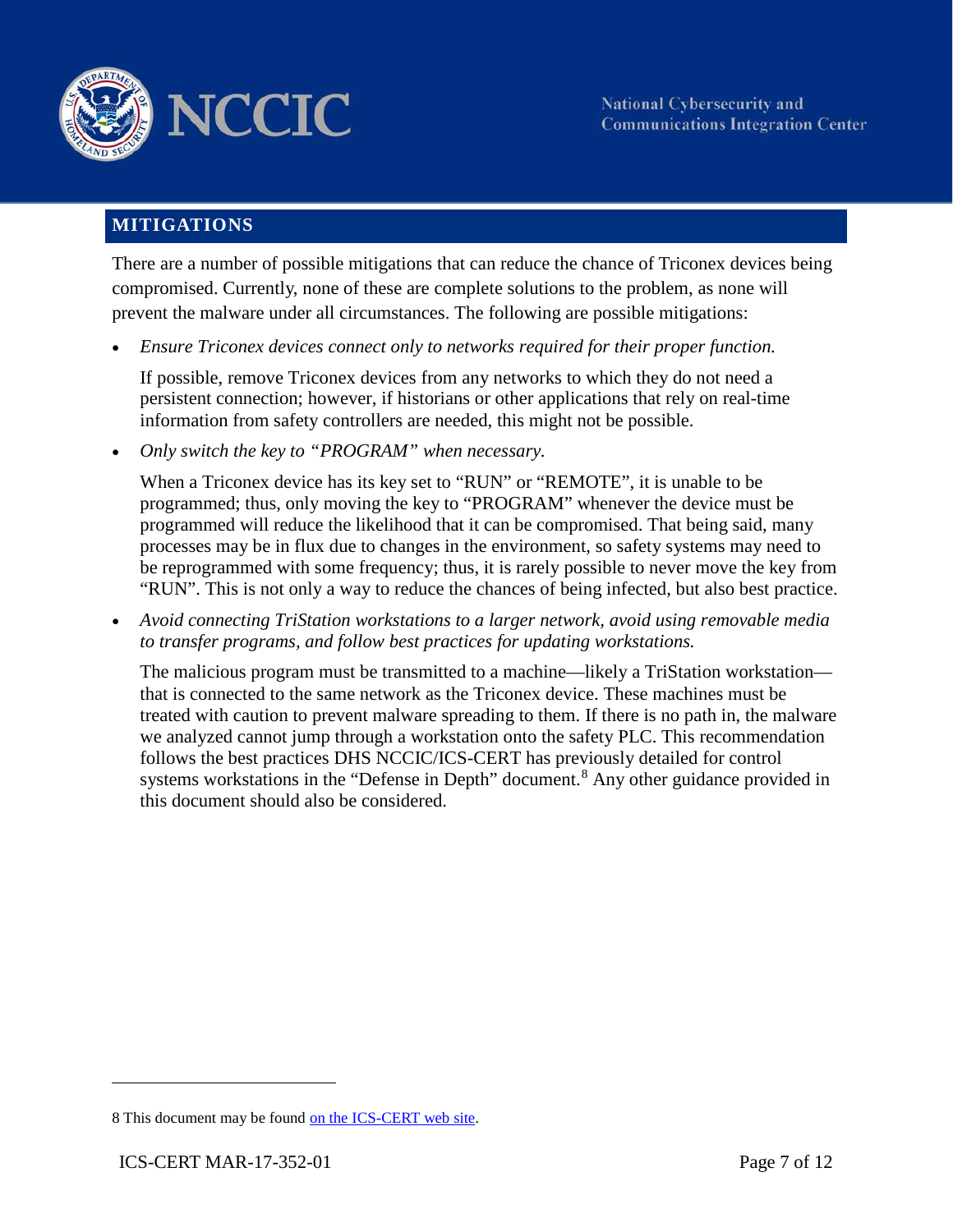

### **MITIGATIONS**

 compromised. Currently, none of these are complete solutions to the problem, as none will There are a number of possible mitigations that can reduce the chance of Triconex devices being prevent the malware under all circumstances. The following are possible mitigations:

 • *Ensure Triconex devices connect only to networks required for their proper function.* 

If possible, remove Triconex devices from any networks to which they do not need a persistent connection; however, if historians or other applications that rely on real-time information from safety controllers are needed, this might not be possible.

• *Only switch the key to "PROGRAM" when necessary.* 

 "RUN". This is not only a way to reduce the chances of being infected, but also best practice. When a Triconex device has its key set to "RUN" or "REMOTE", it is unable to be programmed; thus, only moving the key to "PROGRAM" whenever the device must be programmed will reduce the likelihood that it can be compromised. That being said, many processes may be in flux due to changes in the environment, so safety systems may need to be reprogrammed with some frequency; thus, it is rarely possible to never move the key from

• *Avoid connecting TriStation workstations to a larger network, avoid using removable media to transfer programs, and follow best practices for updating workstations.* 

systems workstations in the "Defense in Depth" document.<sup>8</sup> Any other guidance provided in The malicious program must be transmitted to a machine—likely a TriStation workstation that is connected to the same network as the Triconex device. These machines must be treated with caution to prevent malware spreading to them. If there is no path in, the malware we analyzed cannot jump through a workstation onto the safety PLC. This recommendation follows the best practices DHS NCCIC/ICS-CERT has previously detailed for control this document should also be considered.

<span id="page-6-0"></span><sup>8</sup> This document may be found on the ICS-CERT web site.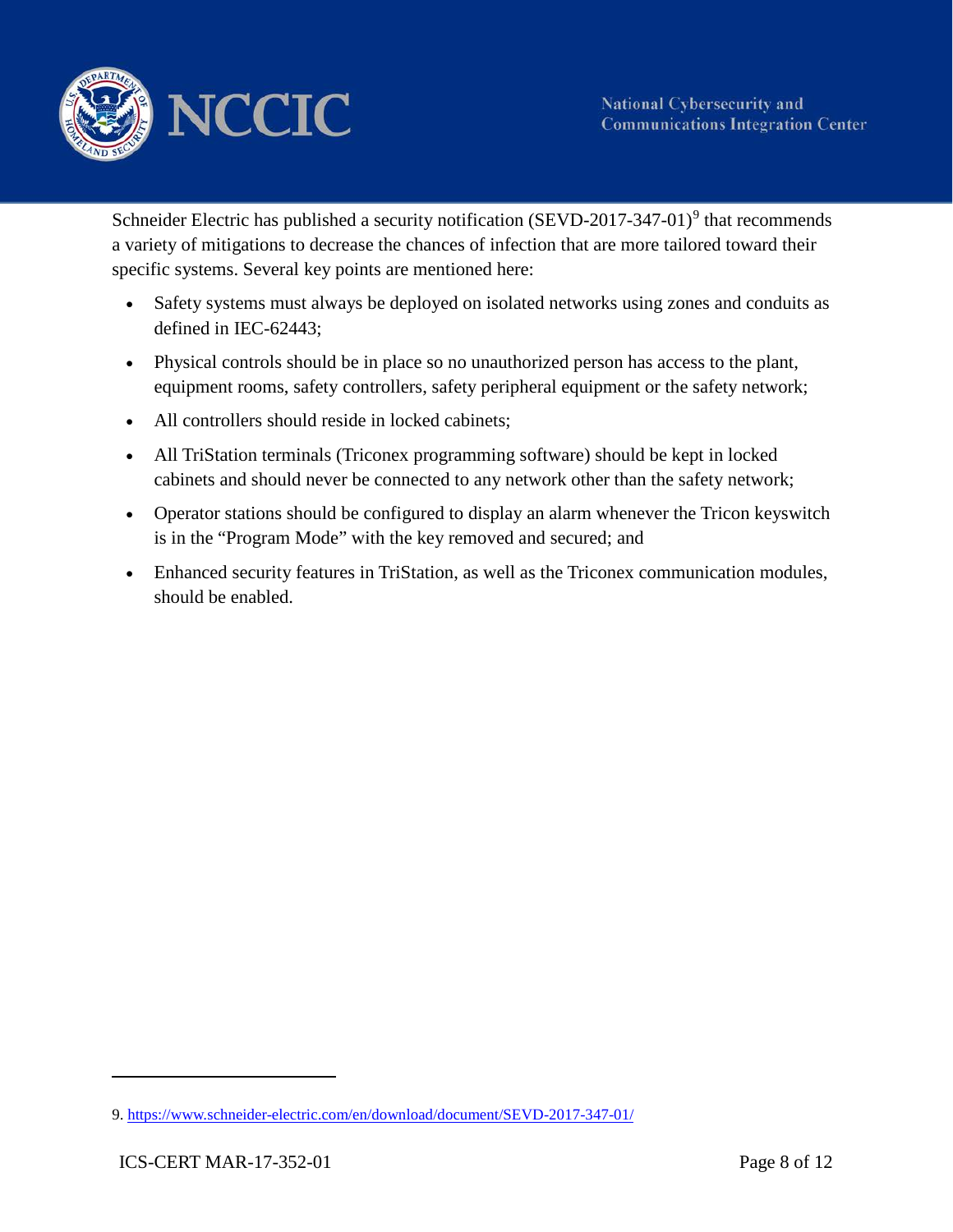

Schneider Electric has published a security notification (SEVD-2017-347-01)<sup>[9](#page-7-0)</sup> that recommends a variety of mitigations to decrease the chances of infection that are more tailored toward their specific systems. Several key points are mentioned here:

- Safety systems must always be deployed on isolated networks using zones and conduits as defined in IEC-62443;
- Physical controls should be in place so no unauthorized person has access to the plant, equipment rooms, safety controllers, safety peripheral equipment or the safety network;
- All controllers should reside in locked cabinets:
- cabinets and should never be connected to any network other than the safety network; • All TriStation terminals (Triconex programming software) should be kept in locked
- is in the "Program Mode" with the key removed and secured; and • Operator stations should be configured to display an alarm whenever the Tricon keyswitch
- should be enabled. • Enhanced security features in TriStation, as well as the Triconex communication modules, should be enabled.<br>-<br>9. <u>https://www.schneider-electric.com/en/download/document/SEVD-2017-347-01/</u>

<span id="page-7-0"></span>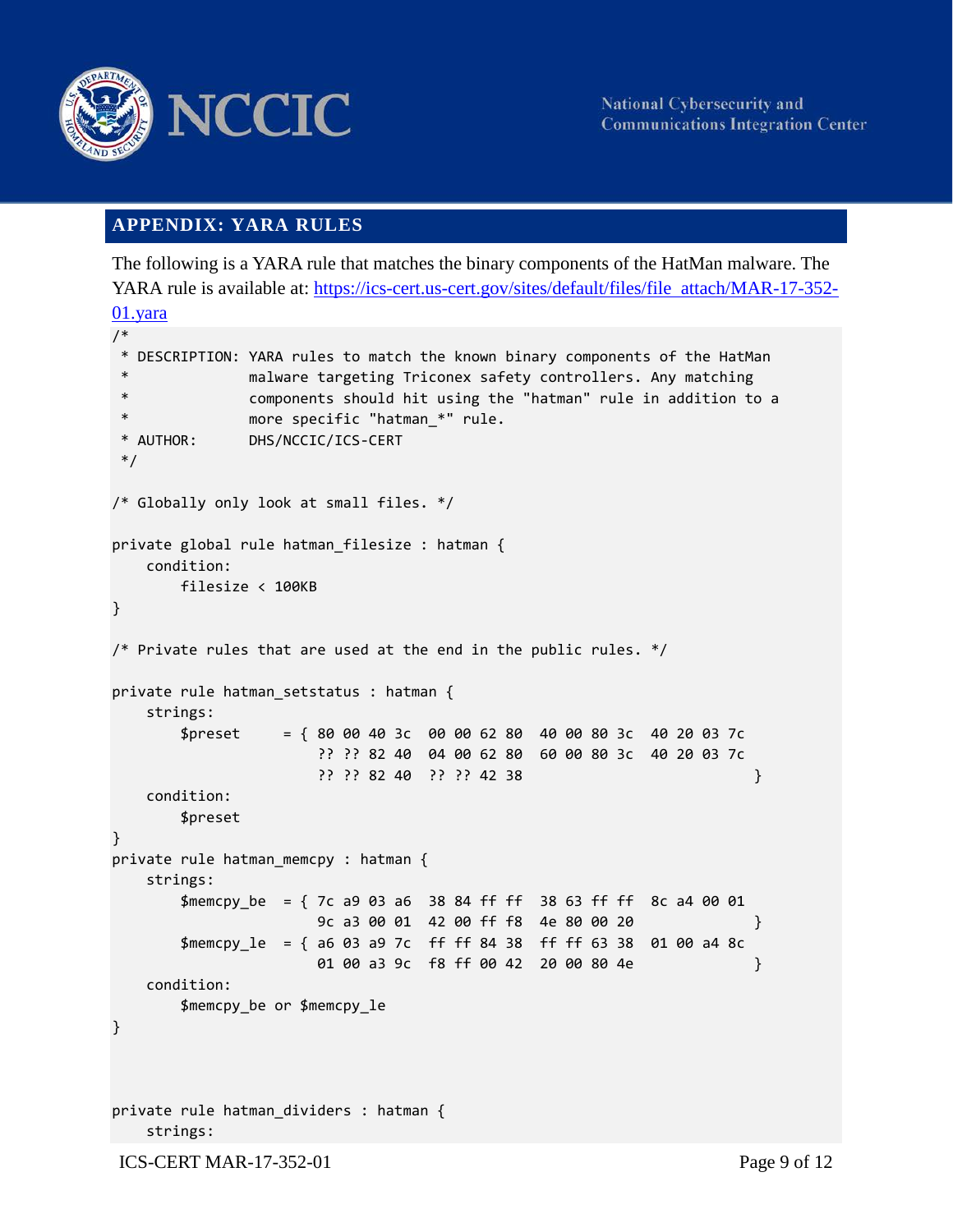

#### **APPENDIX: YARA RULES**

 The following is a YARA rule that matches the binary components of the HatMan malware. The YARA rule is available at: https://ics-cert.us-cert.gov/sites/default/files/file attach/MAR-17-352-

```
 
*/
01.yara
/* 
* DESCRIPTION: YARA rules to match the known binary components of the HatMan
              malware targeting Triconex safety controllers. Any matching
* components should hit using the "hatman" rule in addition to a
              more specific "hatman_*" rule.
* AUTHOR: DHS/NCCIC/ICS-CERT
/* Globally only look at small files. */ 
private global rule hatman_filesize : hatman { 
   condition: 
       filesize < 100KB 
} 
/* Private rules that are used at the end in the public rules. */private rule hatman_setstatus : hatman { 
   strings: 
       $present = { 80 00 40 3c 00 00 62 80 40 00 80 3c 40 20 03 7c}?? ?? 82 40 04 00 62 80 60 00 80 3c 40 20 03 7c 
                     ?? ?? 82 40 ?? ?? 42 38 } 
   condition: 
       $preset 
} 
private rule hatman_memcpy : hatman { 
   strings: 
       $memcpy_be = { 7c a9 03 a6 38 84 ff ff 38 63 ff ff 8c a4 00 01 
                     9c a3 00 01 42 00 ff f8 4e 80 00 20 } 
       $memcpy_le = { a6 03 a9 7c ff ff 84 38 ff ff 63 38 01 00 a4 8c 
                     01 00 a3 9c f8 ff 00 42 20 00 80 4e } 
   condition: 
       $memcpy_be or $memcpy_le 
} 
private rule hatman_dividers : hatman { 
   strings: 
ICS-CERT MAR-17-352-01 Page 9 of 12
```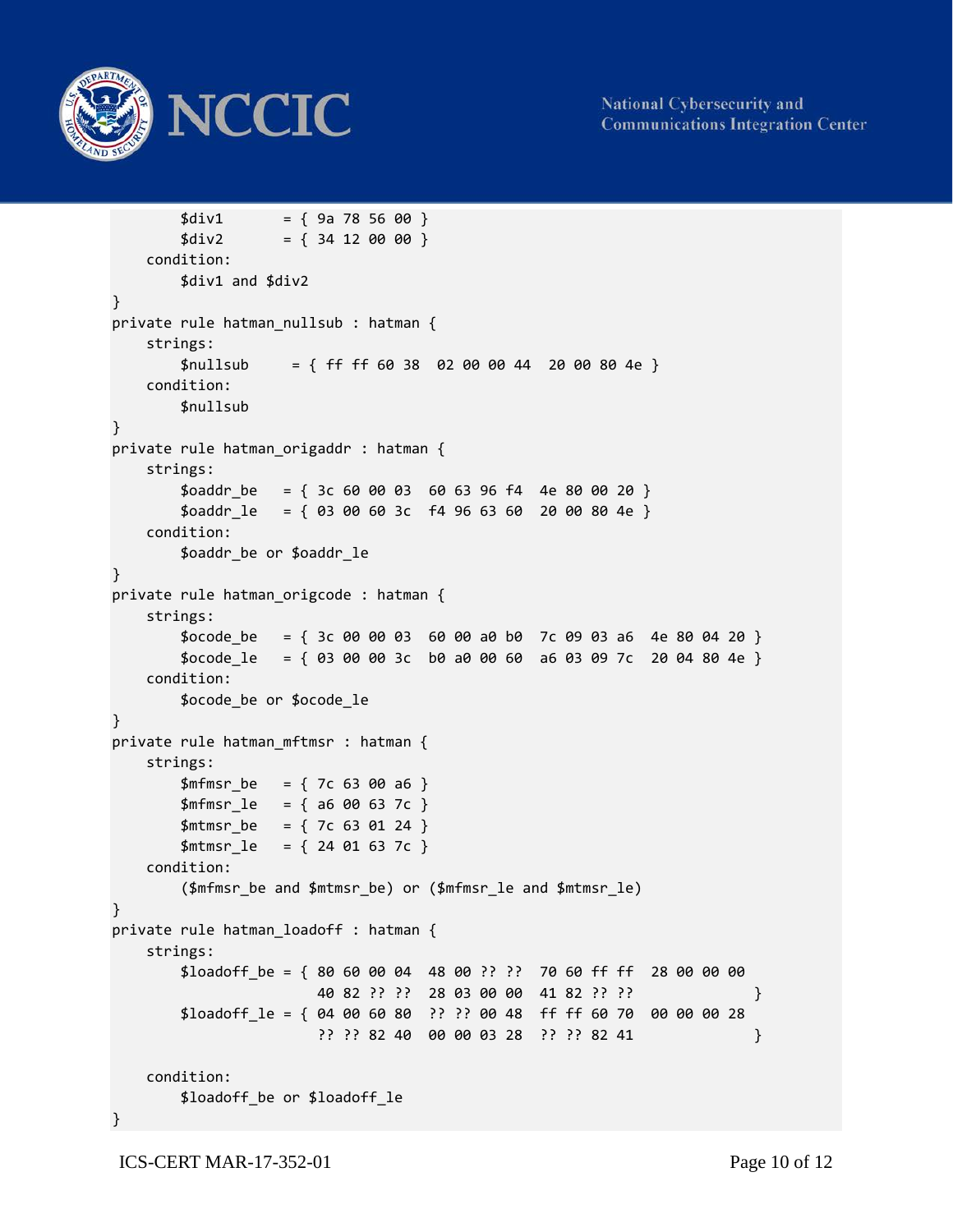

```
$div1 = { 9a 78 56 00 }$div2 = { 34 12 00 00 }condition: 
       $div1 and $div2 
} 
private rule hatman nullsub : hatman {
   strings: 
       $nullsub = { f f f f 60 38 02 00 00 44 20 00 80 4e }condition: 
       $nullsub 
} 
private rule hatman_origaddr : hatman { 
   strings: 
       $oaddr be = { 3c 60 00 03 60 63 96 f4 4e 80 00 20 }
       $oaddr_l = { 03 00 60 3c  f4 96 63 60 20 00 80 4e }condition: 
       $oaddr_be or $oaddr_le 
} 
private rule hatman origcode : hatman {
   strings: 
       $ocode be = { 3c 00 00 03 60 00 a0 b0 7c 09 03 a6 4e 80 04 20 }
       $ocode_le = { 03 00 00 3c b0 a0 00 60 a6 03 09 7c 20 04 80 4e } 
   condition: 
       $ocode_be or $ocode_le 
} 
private rule hatman_mftmsr : hatman { 
   strings: 
       $mfmsr be = { 7c 63 00 a6 }
       $mfmsr_l = { a6 00 63 7c }$mtmsr_be = { 7c 63 01 24 }$mtmsr_le = { 24 01 63 7c } 
   condition: 
       ($mfmsr_be and $mtmsr_be) or ($mfmsr_le and $mtmsr_le) 
} 
private rule hatman_loadoff : hatman { 
   strings: 
       $loadoff be = { 80 60 00 04 48 00 ?? ?? 70 60 ff ff 28 00 00 00
                       40 82 ?? ?? 28 03 00 00 41 82 ?? ?? } 
       $loadoff le = { 04 00 60 80 ?? ?? 00 48 ff ff 60 70 00 00 00 28
                       ?? ?? 82 40 00 00 03 28 ?? ?? 82 41 } 
   condition: 
       $loadoff_be or $loadoff_le 
}
```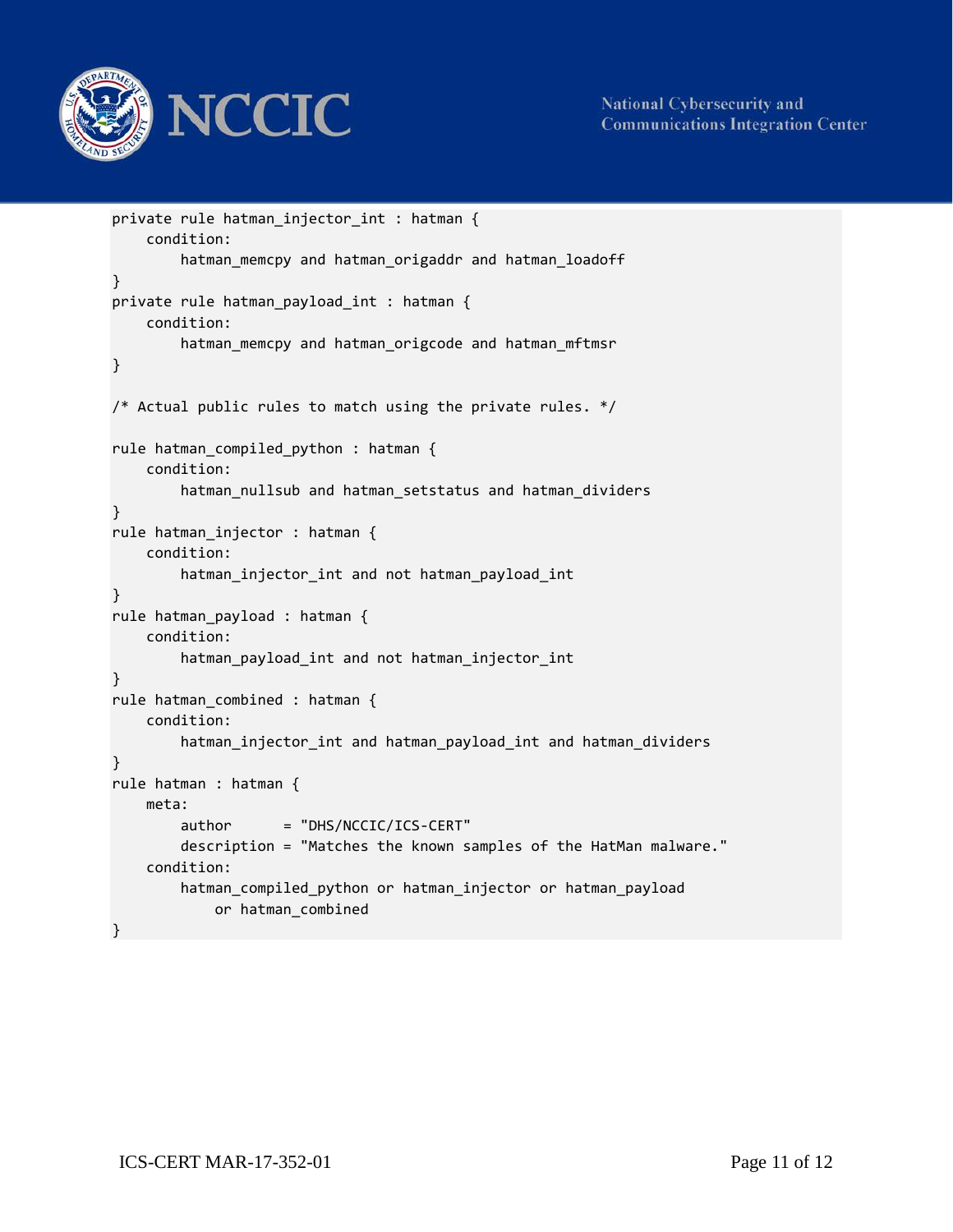

**National Cybersecurity and Communications Integration Center** 

```
private rule hatman_injector_int : hatman { 
    condition: 
        hatman memcpy and hatman origaddr and hatman loadoff
} 
private rule hatman_payload_int : hatman { 
    condition: 
        hatman memcpy and hatman origcode and hatman mftmsr
} 
/* Actual public rules to match using the private rules. */ 
rule hatman_compiled_python : hatman { 
    condition: 
        hatman_nullsub and hatman_setstatus and hatman_dividers 
} 
rule hatman_injector : hatman { 
    condition: 
        hatman_injector_int and not hatman_payload_int 
} 
rule hatman_payload : hatman { 
    condition: 
        hatman payload int and not hatman injector int
} 
rule hatman_combined : hatman { 
    condition: 
        hatman_injector_int and hatman_payload_int and hatman_dividers 
} 
rule hatman : hatman { 
    meta: 
        author = "DHS/NCCIC/ICS-CERT"description = "Matches the known samples of the HatMan malware." 
    condition: 
        hatman_compiled_python or hatman_injector or hatman_payload 
            or hatman_combined 
}
```